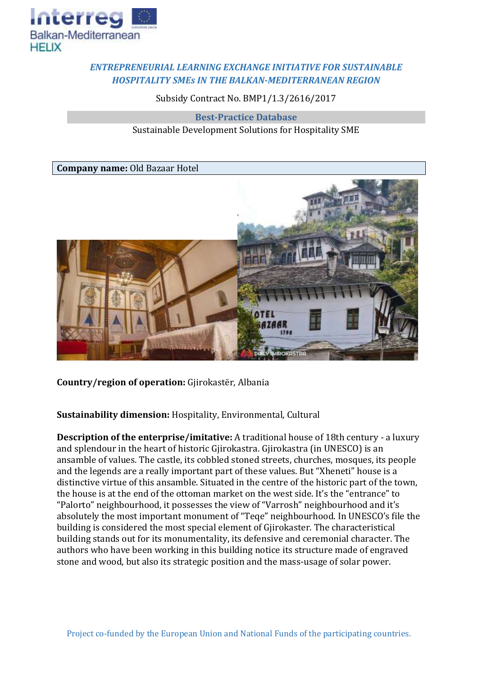

## *ENTREPRENEURIAL LEARNING EXCHANGE INITIATIVE FOR SUSTAINABLE HOSPITALITY SMEs IN THE BALKAN-MEDITERRANEAN REGION*

Subsidy Contract No. BMP1/1.3/2616/2017

**Best-Practice Database** Sustainable Development Solutions for Hospitality SME

**Company name:** Old Bazaar Hotel



**Country/region of operation:** Gjirokastër, Albania

**Sustainability dimension:** Hospitality, Environmental, Cultural

**Description of the enterprise/imitative:** A traditional house of 18th century - a luxury and splendour in the heart of historic Gjirokastra. Gjirokastra (in UNESCO) is an ansamble of values. The castle, its cobbled stoned streets, churches, mosques, its people and the legends are a really important part of these values. But "Xheneti" house is a distinctive virtue of this ansamble. Situated in the centre of the historic part of the town, the house is at the end of the ottoman market on the west side. It's the "entrance" to "Palorto" neighbourhood, it possesses the view of "Varrosh" neighbourhood and it's absolutely the most important monument of "Teqe" neighbourhood. In UNESCO's file the building is considered the most special element of Gjirokaster. The characteristical building stands out for its monumentality, its defensive and ceremonial character. The authors who have been working in this building notice its structure made of engraved stone and wood, but also its strategic position and the mass-usage of solar power.